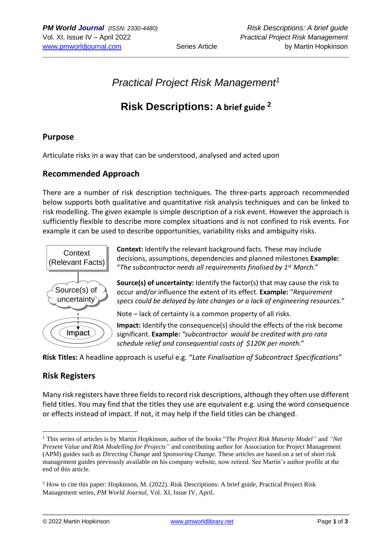# *Practical Project Risk Management<sup>1</sup>*

# **Risk Descriptions: A brief guide <sup>2</sup>**

### **Purpose**

Articulate risks in a way that can be understood, analysed and acted upon

### **Recommended Approach**

There are a number of risk description techniques. The three-parts approach recommended below supports both qualitative and quantitative risk analysis techniques and can be linked to risk modelling. The given example is simple description of a risk event. However the approach is sufficiently flexible to describe more complex situations and is not confined to risk events. For example it can be used to describe opportunities, variability risks and ambiguity risks.



**Context:** Identify the relevant background facts. These may include decisions, assumptions, dependencies and planned milestones **Example:** "*The subcontractor needs all requirements finalised by 1st March."*

**Source(s) of uncertainty:** Identify the factor(s) that may cause the risk to occur and/or influence the extent of its effect. **Example:** "*Requirement specs could be delayed by late changes or a lack of engineering resources."*

Note – lack of certainty is a common property of all risks.

**Impact:** Identify the consequence(s) should the effects of the risk become significant. **Example:** *"subcontractor would be credited with pro rata schedule relief and consequential costs of \$120K per month."*

**Risk Titles:** A headline approach is useful e.g. "*Late Finalisation of Subcontract Specifications*"

#### **Risk Registers**

Many risk registers have three fields to record risk descriptions, although they often use different field titles. You may find that the titles they use are equivalent e.g. using the word consequence or effects instead of impact. If not, it may help if the field titles can be changed.

<sup>1</sup> This series of articles is by Martin Hopkinson, author of the books "*The Project Risk Maturity Model"* and *"Net Present Value and Risk Modelling for Projects"* and contributing author for Association for Project Management (APM) guides such as *Directing Change* and *Sponsoring Change.* These articles are based on a set of short risk management guides previously available on his company website, now retired. See Martin's author profile at the end of this article.

<sup>2</sup> How to cite this paper: Hopkinson, M. (2022). Risk Descriptions: A brief guide, Practical Project Risk Management series, *PM World Journal,* Vol. XI, Issue IV, April.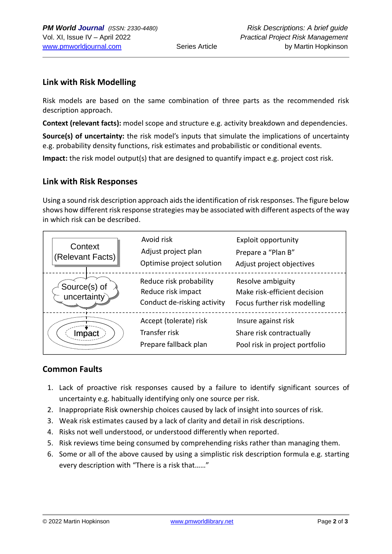## **Link with Risk Modelling**

Risk models are based on the same combination of three parts as the recommended risk description approach.

**Context (relevant facts):** model scope and structure e.g. activity breakdown and dependencies.

**Source(s) of uncertainty:** the risk model's inputs that simulate the implications of uncertainty e.g. probability density functions, risk estimates and probabilistic or conditional events.

**Impact:** the risk model output(s) that are designed to quantify impact e.g. project cost risk.

### **Link with Risk Responses**

Using a sound risk description approach aids the identification of risk responses. The figure below shows how different risk response strategies may be associated with different aspects of the way in which risk can be described.

| Context<br>(Relevant Facts) | Avoid risk<br>Adjust project plan<br>Optimise project solution               | <b>Exploit opportunity</b><br>Prepare a "Plan B"<br>Adjust project objectives     |
|-----------------------------|------------------------------------------------------------------------------|-----------------------------------------------------------------------------------|
| Source(s) of<br>uncertainty | Reduce risk probability<br>Reduce risk impact<br>Conduct de-risking activity | Resolve ambiguity<br>Make risk-efficient decision<br>Focus further risk modelling |
| Impact                      | Accept (tolerate) risk<br>Transfer risk<br>Prepare fallback plan             | Insure against risk<br>Share risk contractually<br>Pool risk in project portfolio |

## **Common Faults**

- 1. Lack of proactive risk responses caused by a failure to identify significant sources of uncertainty e.g. habitually identifying only one source per risk.
- 2. Inappropriate Risk ownership choices caused by lack of insight into sources of risk.
- 3. Weak risk estimates caused by a lack of clarity and detail in risk descriptions.
- 4. Risks not well understood, or understood differently when reported.
- 5. Risk reviews time being consumed by comprehending risks rather than managing them.
- 6. Some or all of the above caused by using a simplistic risk description formula e.g. starting every description with "There is a risk that……"